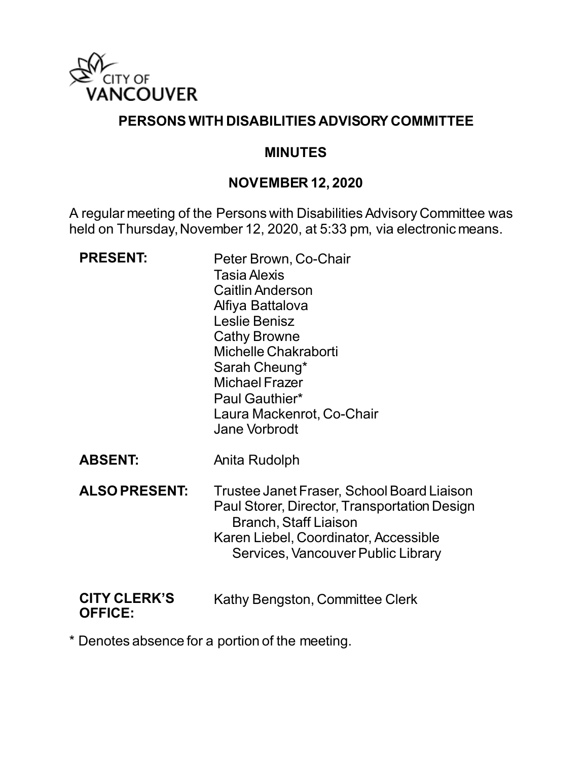

### **PERSONS WITH DISABILITIES ADVISORY COMMITTEE**

#### **MINUTES**

### **NOVEMBER 12, 2020**

A regular meeting of the Persons with Disabilities Advisory Committee was held on Thursday, November 12, 2020, at 5:33 pm, via electronic means.

| <b>PRESENT:</b>                       | Peter Brown, Co-Chair<br><b>Tasia Alexis</b><br><b>Caitlin Anderson</b><br>Alfiya Battalova<br>Leslie Benisz<br><b>Cathy Browne</b><br>Michelle Chakraborti<br>Sarah Cheung*<br><b>Michael Frazer</b><br>Paul Gauthier*<br>Laura Mackenrot, Co-Chair<br><b>Jane Vorbrodt</b> |
|---------------------------------------|------------------------------------------------------------------------------------------------------------------------------------------------------------------------------------------------------------------------------------------------------------------------------|
| <b>ABSENT:</b>                        | Anita Rudolph                                                                                                                                                                                                                                                                |
| <b>ALSO PRESENT:</b>                  | Trustee Janet Fraser, School Board Liaison<br>Paul Storer, Director, Transportation Design<br>Branch, Staff Liaison<br>Karen Liebel, Coordinator, Accessible<br>Services, Vancouver Public Library                                                                           |
| <b>CITY CLERK'S</b><br><b>OFFICE:</b> | Kathy Bengston, Committee Clerk                                                                                                                                                                                                                                              |

\* Denotes absence for a portion of the meeting.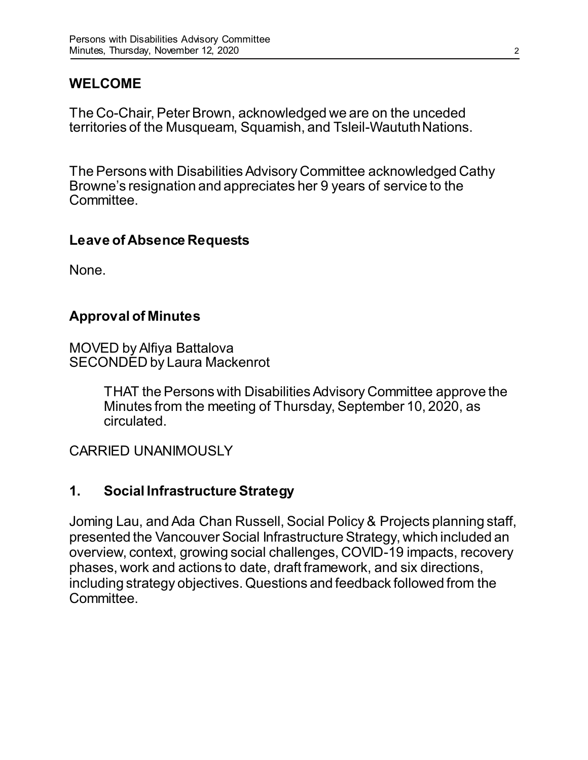## **WELCOME**

The Co-Chair, Peter Brown, acknowledged we are on the unceded territories of the Musqueam, Squamish, and Tsleil-Waututh Nations.

The Persons with Disabilities Advisory Committee acknowledged Cathy Browne's resignation and appreciates her 9 years of service to the Committee.

#### **Leave of Absence Requests**

None.

## **Approval of Minutes**

MOVED by Alfiya Battalova SECONDED by Laura Mackenrot

> THAT the Persons with Disabilities Advisory Committee approve the Minutes from the meeting of Thursday, September 10, 2020, as circulated.

## CARRIED UNANIMOUSLY

### **1. Social Infrastructure Strategy**

Joming Lau, and Ada Chan Russell, Social Policy & Projects planning staff, presented the Vancouver Social Infrastructure Strategy, which included an overview, context, growing social challenges, COVID-19 impacts, recovery phases, work and actions to date, draft framework, and six directions, including strategy objectives. Questions and feedback followed from the **Committee**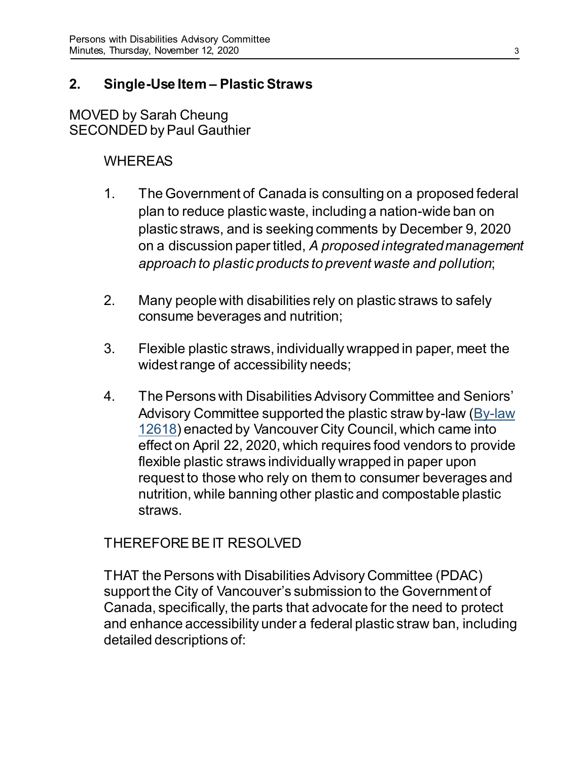### **2. Single-Use Item – Plastic Straws**

MOVED by Sarah Cheung SECONDED by Paul Gauthier

### **WHEREAS**

- 1. The Government of Canada is consulting on a proposed federal plan to reduce plastic waste, including a nation-wide ban on plastic straws, and is seeking comments by December 9, 2020 on a discussion paper titled, *A proposed integrated management approach to plastic products to prevent waste and pollution*;
- 2. Many people with disabilities rely on plastic straws to safely consume beverages and nutrition;
- 3. Flexible plastic straws, individually wrapped in paper, meet the widest range of accessibility needs;
- 4. The Persons with Disabilities Advisory Committee and Seniors' Advisory Committee supported the plastic straw by-law [\(By-law](https://bylaws.vancouver.ca/consolidated/12618.PDF)  [12618\)](https://bylaws.vancouver.ca/consolidated/12618.PDF) enacted by Vancouver City Council, which came into effect on April 22, 2020, which requires food vendors to provide flexible plastic straws individually wrapped in paper upon request to those who rely on them to consumer beverages and nutrition, while banning other plastic and compostable plastic straws.

### THEREFORE BE IT RESOLVED

THAT the Persons with Disabilities Advisory Committee (PDAC) support the City of Vancouver's submission to the Government of Canada, specifically, the parts that advocate for the need to protect and enhance accessibility under a federal plastic straw ban, including detailed descriptions of: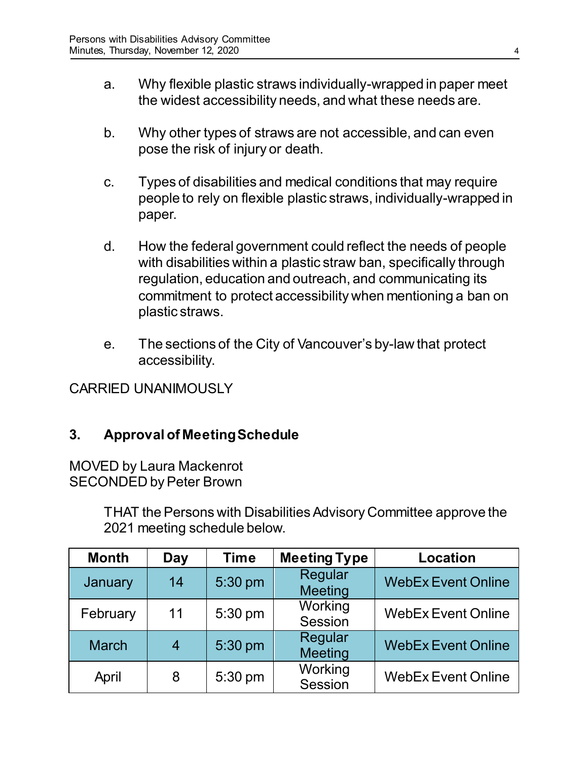- a. Why flexible plastic straws individually-wrapped in paper meet the widest accessibility needs, and what these needs are.
- b. Why other types of straws are not accessible, and can even pose the risk of injury or death.
- c. Types of disabilities and medical conditions that may require people to rely on flexible plastic straws, individually-wrapped in paper.
- d. How the federal government could reflect the needs of people with disabilities within a plastic straw ban, specifically through regulation, education and outreach, and communicating its commitment to protect accessibility when mentioning a ban on plastic straws.
- e. The sections of the City of Vancouver's by-law that protect accessibility.

CARRIED UNANIMOUSLY

## **3. Approval of Meeting Schedule**

MOVED by Laura Mackenrot SECONDED by Peter Brown

> THAT the Persons with Disabilities Advisory Committee approve the 2021 meeting schedule below.

| <b>Month</b> | Day | <b>Time</b> | <b>Meeting Type</b> | <b>Location</b>           |
|--------------|-----|-------------|---------------------|---------------------------|
| January      | 14  | 5:30 pm     | Regular<br>Meeting  | <b>WebEx Event Online</b> |
| February     | 11  | 5:30 pm     | Working<br>Session  | <b>WebEx Event Online</b> |
| <b>March</b> |     | 5:30 pm     | Regular<br>Meeting  | <b>WebEx Event Online</b> |
| April        | 8   | 5:30 pm     | Working<br>Session  | <b>WebEx Event Online</b> |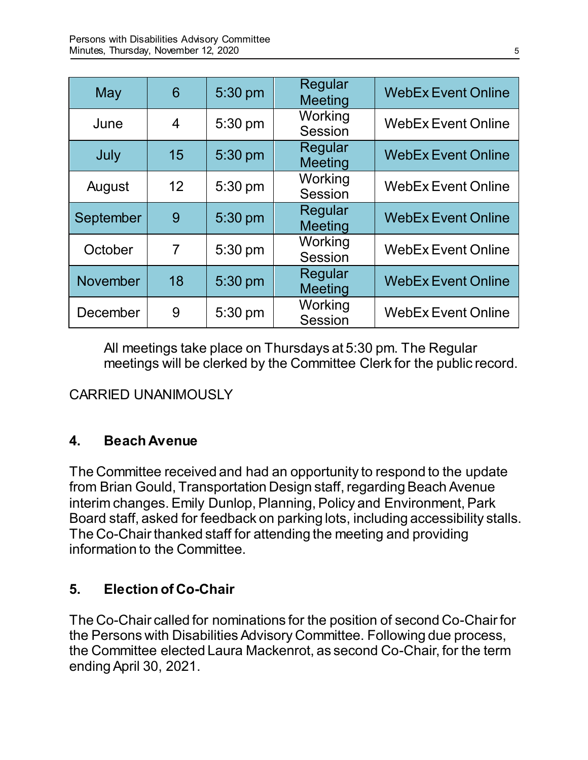| May       | 6  | 5:30 pm   | Regular<br><b>Meeting</b> | <b>WebEx Event Online</b> |
|-----------|----|-----------|---------------------------|---------------------------|
| June      | 4  | 5:30 pm   | Working<br>Session        | <b>WebEx Event Online</b> |
| July      | 15 | 5:30 pm   | Regular<br><b>Meeting</b> | <b>WebEx Event Online</b> |
| August    | 12 | 5:30 pm   | Working<br>Session        | <b>WebEx Event Online</b> |
| September | 9  | 5:30 pm   | Regular<br><b>Meeting</b> | <b>WebEx Event Online</b> |
| October   | 7  | 5:30 pm   | Working<br>Session        | <b>WebEx Event Online</b> |
| November  | 18 | $5:30$ pm | Regular<br><b>Meeting</b> | <b>WebEx Event Online</b> |
| December  | 9  | 5:30 pm   | Working<br>Session        | <b>WebEx Event Online</b> |

All meetings take place on Thursdays at 5:30 pm. The Regular meetings will be clerked by the Committee Clerk for the public record.

CARRIED UNANIMOUSLY

## **4. Beach Avenue**

The Committee received and had an opportunity to respond to the update from Brian Gould, Transportation Design staff, regarding Beach Avenue interim changes. Emily Dunlop, Planning, Policy and Environment, Park Board staff, asked for feedback on parking lots, including accessibility stalls. The Co-Chair thanked staff for attending the meeting and providing information to the Committee.

## **5. Election of Co-Chair**

The Co-Chair called for nominations for the position of second Co-Chair for the Persons with Disabilities Advisory Committee. Following due process, the Committee elected Laura Mackenrot, as second Co-Chair, for the term ending April 30, 2021.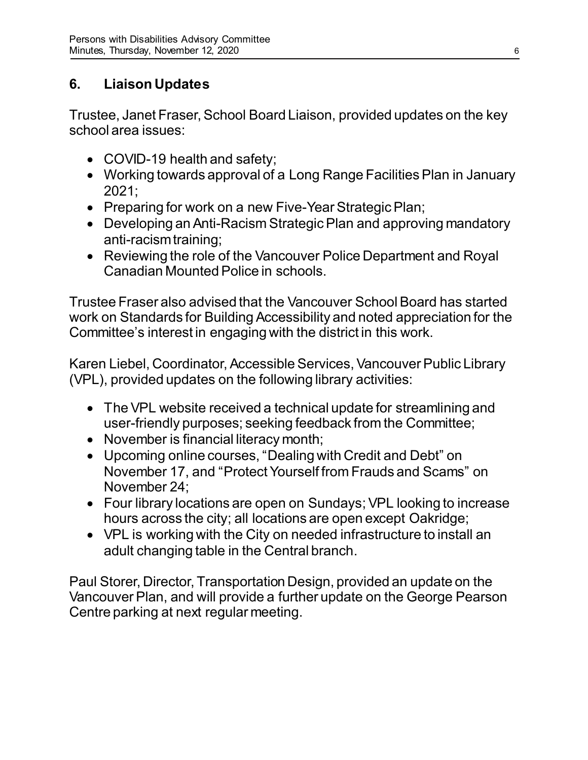# **6. Liaison Updates**

Trustee, Janet Fraser, School Board Liaison, provided updates on the key school area issues:

- COVID-19 health and safety;
- Working towards approval of a Long Range Facilities Plan in January 2021;
- Preparing for work on a new Five-Year Strategic Plan;
- Developing an Anti-Racism Strategic Plan and approving mandatory anti-racism training;
- Reviewing the role of the Vancouver Police Department and Royal Canadian Mounted Police in schools.

Trustee Fraser also advised that the Vancouver School Board has started work on Standards for Building Accessibility and noted appreciation for the Committee's interest in engaging with the district in this work.

Karen Liebel, Coordinator, Accessible Services, Vancouver Public Library (VPL), provided updates on the following library activities:

- The VPL website received a technical update for streamlining and user-friendly purposes; seeking feedback from the Committee;
- November is financial literacy month;
- Upcoming online courses, "Dealing with Credit and Debt" on November 17, and "Protect Yourself from Frauds and Scams" on November 24;
- Four library locations are open on Sundays; VPL looking to increase hours across the city; all locations are open except Oakridge;
- VPL is working with the City on needed infrastructure to install an adult changing table in the Central branch.

Paul Storer, Director, Transportation Design, provided an update on the Vancouver Plan, and will provide a further update on the George Pearson Centre parking at next regular meeting.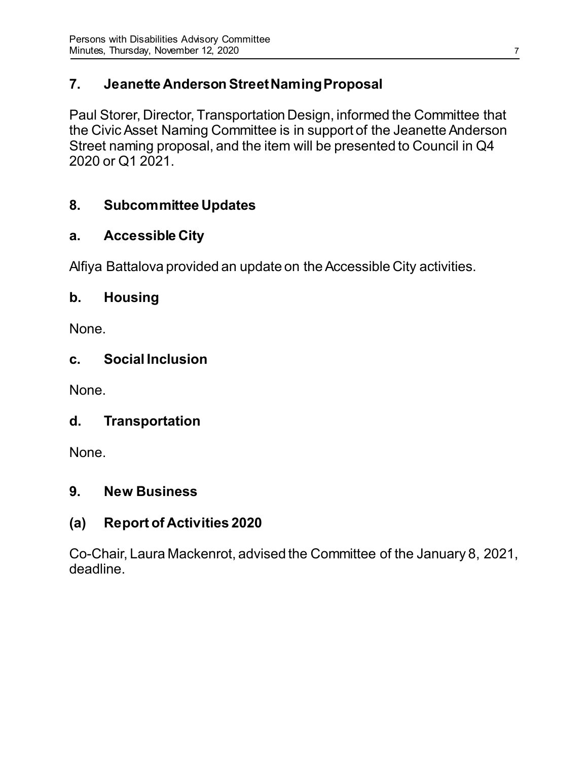## **7. Jeanette Anderson Street Naming Proposal**

Paul Storer, Director, Transportation Design, informed the Committee that the Civic Asset Naming Committee is in support of the Jeanette Anderson Street naming proposal, and the item will be presented to Council in Q4 2020 or Q1 2021.

## **8. Subcommittee Updates**

## **a. Accessible City**

Alfiya Battalova provided an update on the Accessible City activities.

## **b. Housing**

None.

## **c. Social Inclusion**

None.

## **d. Transportation**

None.

## **9. New Business**

## **(a) Report of Activities 2020**

Co-Chair, Laura Mackenrot, advised the Committee of the January 8, 2021, deadline.